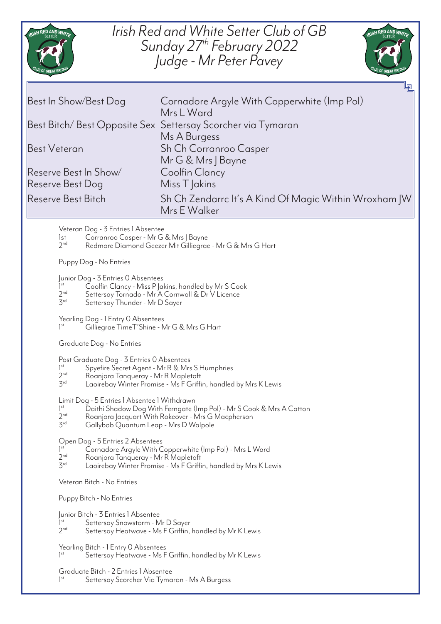

## *Irish Red and White Setter Club of GB Sunday 27th February 2022 Judge - Mr Peter Pavey*



Reserve Best In Show/ Coolfin Clancy Reserve Best Dog Miss T Jakins

Best Bitch/ Best Opposite Sex Settersay Scorcher via Tymaran Ms A Burgess Best Veteran Sh Ch Corranroo Casper<br>Mr G & Mrs | Bayne Reserve Best Bitch Sh Ch Zendarrc It's A Kind Of Magic Within Wroxham JW Mrs E Walker

Veteran Dog - 3 Entries 1 Absentee

1st Corranroo Casper - Mr G & Mrs J Bayne<br>2<sup>nd</sup> Redmore Diamond Geezer Mit Gillieara

Redmore Diamond Geezer Mit Gilliegrae - Mr G & Mrs G Hart

Puppy Dog - No Entries

Junior Dog - 3 Entries 0 Absentees

- $1<sup>st</sup>$ <br> $2<sup>nd</sup>$  $\tilde{\mathcal{S}}$ oolfin Clancy - Miss P Jakins, handled by Mr S Cook
- 2<sup>nd</sup> Settersay Tornado Mr A Cornwall & Dr V Licence
- 3rd Settersay Thunder Mr D Sayer

Yearling Dog - 1 Entry 0 Absentees

1st Gilliegrae TimeT'Shine - Mr G & Mrs G Hart

Graduate Dog - No Entries

Post Graduate Dog - 3 Entries 0 Absentees

- $1^{\text{st}}$ <br> $2^{\text{nd}}$ Spyefire Secret Agent - Mr R & Mrs S Humphries
- 2<sup>nd</sup> Roanjora Tanqueray Mr R Mapletoft<br>3<sup>rd</sup> Laoirebay Winter Promise Ms F Griffi
- Laoirebay Winter Promise Ms F Griffin, handled by Mrs K Lewis

Limit Dog - 5 Entries 1 Absentee 1 Withdrawn

- $1<sup>st</sup>$ <br> $2<sup>nd</sup>$ Daithi Shadow Dog With Ferngate (Imp Pol) - Mr S Cook & Mrs A Catton
- $2^{nd}$  Roanjora Jacquart With Rokeover Mrs G Macpherson<br>3<sup>rd</sup> Gallybob Quantum Leap Mrs D Walpole
- Gallybob Quantum Leap Mrs D Walpole

Open Dog - 5 Entries 2 Absentees

- $1<sup>st</sup>$ <br> $2<sup>nd</sup>$ Cornadore Argyle With Copperwhite (Imp Pol) - Mrs L Ward
- 2<sup>nd</sup> Roanjora Tanqueray Mr R Mapletoft<br>3<sup>rd</sup> Laoirebay Winter Promise Ms E Griffi
- Laoirebay Winter Promise Ms F Griffin, handled by Mrs K Lewis

Veteran Bitch - No Entries

Puppy Bitch - No Entries

Junior Bitch - 3 Entries 1 Absentee

Settersay Snowstorm - Mr D Sayer

 $2<sup>nd</sup>$ Settersay Heatwave - Ms F Griffin, handled by Mr K Lewis

Yearling Bitch - 1 Entry 0 Absentees  $1<sup>st</sup>$ Settersay Heatwave - Ms F Griffin, handled by Mr K Lewis

Graduate Bitch - 2 Entries 1 Absentee

 $1<sup>st</sup>$ Settersay Scorcher Via Tymaran - Ms A Burgess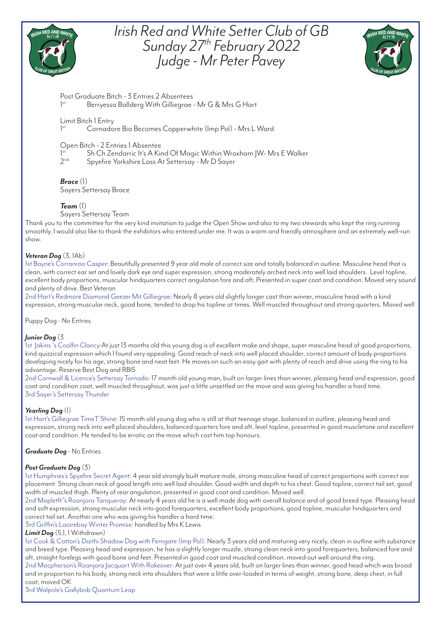

## *Irish Red and White Setter Club of GB Sunday 27th February 2022 Judge - Mr Peter Pavey*



Post Graduate Bitch - 3 Entries 2 Absentees 1 Berryessa Ballderg With Gilliegrae - Mr G & Mrs G Hart

#### Limit Bitch 1 Entry  $1<sup>st</sup>$

Cornadore Bia Becomes Copperwhite (Imp Pol) - Mrs L Ward

#### Open Bitch - 2 Entries 1 Absentee

Sh Ch Zendarric It's A Kind Of Magic Within Wroxham | W- Mrs E Walker

 $2nd$ Spyefire Yorkshire Lass At Settersay - Mr D Sayer

### *Brace* (1)

Sayers Settersay Brace

### *Team* (1)

#### Sayers Settersay Team

Thank you to the committee for the very kind invitation to judge the Open Show and also to my two stewards who kept the ring running smoothly. I would also like to thank the exhibitors who entered under me. It was a warm and friendly atmosphere and an extremely well-run show.

#### *Veteran Dog* (3, 1Ab)

1st Bayne's Corranroo Casper: Beautifully presented 9 year old male of correct size and totally balanced in outline. Masculine head that is clean, with correct ear set and lovely dark eye and super expression, strong moderately arched neck into well laid shoulders. Level topline, excellent body proportions, muscular hindquarters correct angulation fore and aft, Presented in super coat and condition. Moved very sound and plenty of drive. Best Veteran

2nd Hart's Redmore Diamond Geezer Mit Gilliegrae: Nearly 8 years old slightly longer cast than winner, masculine head with a kind expression, strong muscular neck, good bone, tended to drop his topline at times. Well muscled throughout and strong quarters. Moved well

Puppy Dog - No Entries

#### *Junior Dog* (3

1st Jakins 's Coolfin Clancy:At just 13 months old this young dog is of excellent make and shape, super masculine head of good proportions, kind quizzical expression which I found very appealing. Good reach of neck into well placed shoulder, correct amount of body proportions developing nicely for his age, strong bone and neat feet. He moves on such an easy gait with plenty of reach and drive using the ring to his advantage. Reserve Best Dog and RBIS

2nd Cornwall & Licence's Settersay Tornado: 17 month old young man, built on larger lines than winner, pleasing head and expression, good coat and condition coat, well muscled throughout, was just a little unsettled on the move and was giving his handler a hard time. 3rd Sayer's Settersay Thunder

#### *Yearling Dog* (1)

1st Hart's Gilliegrae TimeT'Shine: 15 month old young dog who is still at that teenage stage, balanced in outline, pleasing head and expression, strong neck into well placed shoulders, balanced quarters fore and aft, level topline, presented in good muscletone and excellent coat and condition. He tended to be erratic on the move which cost him top honours.

#### *Graduate Dog* - No Entries

#### *Post Graduate Dog* (3)

1st Humphries's Spyefire Secret Agent: 4 year old strongly built mature male, strong masculine head of correct proportions with correct ear placement. Strong clean neck of good length into well laid shoulder. Good width and depth to his chest. Good topline, correct tail set, good width of muscled thigh. Plenty of rear angulation, presented in good coat and condition. Moved well.

2nd Mapletft"s Roanjora Tanqueray: At nearly 4 years old he is a well made dog with overall balance and of good breed type. Pleasing head and soft expression, strong muscular neck into good forequarters, excellent body proportions, good topline, muscular hindquarters and correct tail set. Another one who was giving his handler a hard time.

3rd Griffin's Laoirebay Winter Promise: handled by Mrs K Lewis

#### *Limit Dog* (5,1, 1 Withdrawn)

1st Cook & Catton's Daithi Shadow Dog with Ferngate (Imp Pol): Nearly 3 years old and maturing very nicely, clean in outline with substance and breed type. Pleasing head and expression, he has a slightly longer muzzle, strong clean neck into good forequarters, balanced fore and aft, straight forelegs with good bone and feet. Presented in good coat and muscled condition. moved out well around the ring. 2nd Macpherson's Roanjora Jacquart With Rokeover: At just over 4 years old, built on larger lines than winner, good head which was broad and in proportion to his body, strong neck into shoulders that were a little over-loaded in terms of weight, strong bone, deep chest, in full coat, moved OK

3rd Walpole's Gallybob Quantum Leap